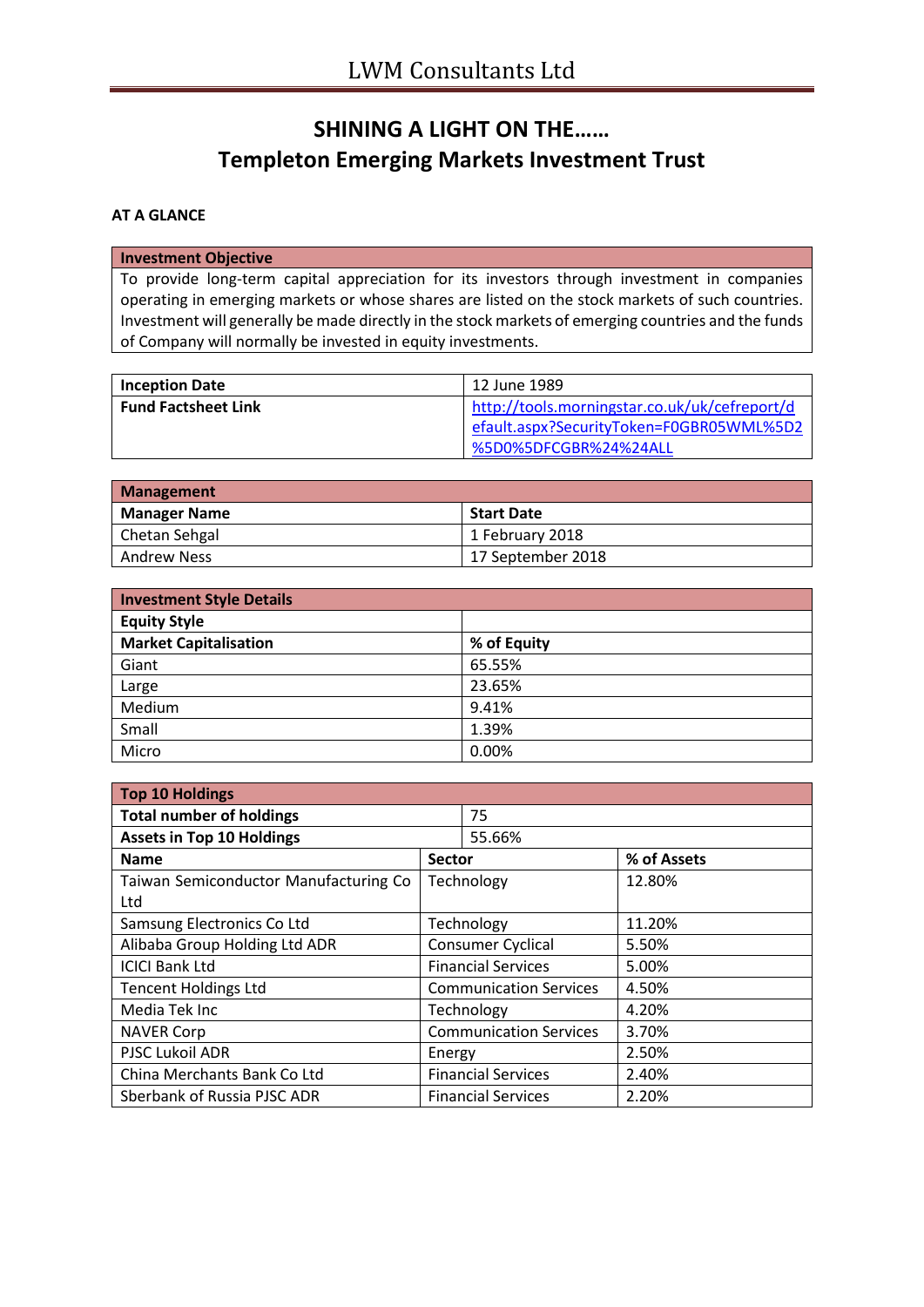# **SHINING A LIGHT ON THE…… Templeton Emerging Markets Investment Trust**

## **AT A GLANCE**

### **Investment Objective**

To provide long-term capital appreciation for its investors through investment in companies operating in emerging markets or whose shares are listed on the stock markets of such countries. Investment will generally be made directly in the stock markets of emerging countries and the funds of Company will normally be invested in equity investments.

| <b>Inception Date</b>      | 12 June 1989                                                                              |
|----------------------------|-------------------------------------------------------------------------------------------|
| <b>Fund Factsheet Link</b> | http://tools.morningstar.co.uk/uk/cefreport/d<br>efault.aspx?SecurityToken=F0GBR05WML%5D2 |
|                            | %5D0%5DFCGBR%24%24ALL                                                                     |

| Management          |                   |  |  |
|---------------------|-------------------|--|--|
| <b>Manager Name</b> | <b>Start Date</b> |  |  |
| Chetan Sehgal       | 1 February 2018   |  |  |
| <b>Andrew Ness</b>  | 17 September 2018 |  |  |

| <b>Investment Style Details</b> |             |  |  |
|---------------------------------|-------------|--|--|
| <b>Equity Style</b>             |             |  |  |
| <b>Market Capitalisation</b>    | % of Equity |  |  |
| Giant                           | 65.55%      |  |  |
| Large                           | 23.65%      |  |  |
| Medium                          | 9.41%       |  |  |
| Small                           | 1.39%       |  |  |
| Micro                           | 0.00%       |  |  |

| <b>Top 10 Holdings</b>                |                               |                           |             |  |  |
|---------------------------------------|-------------------------------|---------------------------|-------------|--|--|
| <b>Total number of holdings</b>       | 75                            |                           |             |  |  |
| <b>Assets in Top 10 Holdings</b>      |                               | 55.66%                    |             |  |  |
| <b>Name</b>                           | <b>Sector</b>                 |                           | % of Assets |  |  |
| Taiwan Semiconductor Manufacturing Co | Technology                    |                           | 12.80%      |  |  |
| Ltd                                   |                               |                           |             |  |  |
| Samsung Electronics Co Ltd            | Technology                    |                           | 11.20%      |  |  |
| Alibaba Group Holding Ltd ADR         | Consumer Cyclical             |                           | 5.50%       |  |  |
| <b>ICICI Bank Ltd</b>                 | <b>Financial Services</b>     |                           | 5.00%       |  |  |
| <b>Tencent Holdings Ltd</b>           | <b>Communication Services</b> |                           | 4.50%       |  |  |
| Media Tek Inc                         | Technology                    |                           | 4.20%       |  |  |
| <b>NAVER Corp</b>                     | <b>Communication Services</b> |                           | 3.70%       |  |  |
| PJSC Lukoil ADR                       | Energy                        |                           | 2.50%       |  |  |
| China Merchants Bank Co Ltd           | <b>Financial Services</b>     |                           | 2.40%       |  |  |
| Sberbank of Russia PJSC ADR           |                               | <b>Financial Services</b> | 2.20%       |  |  |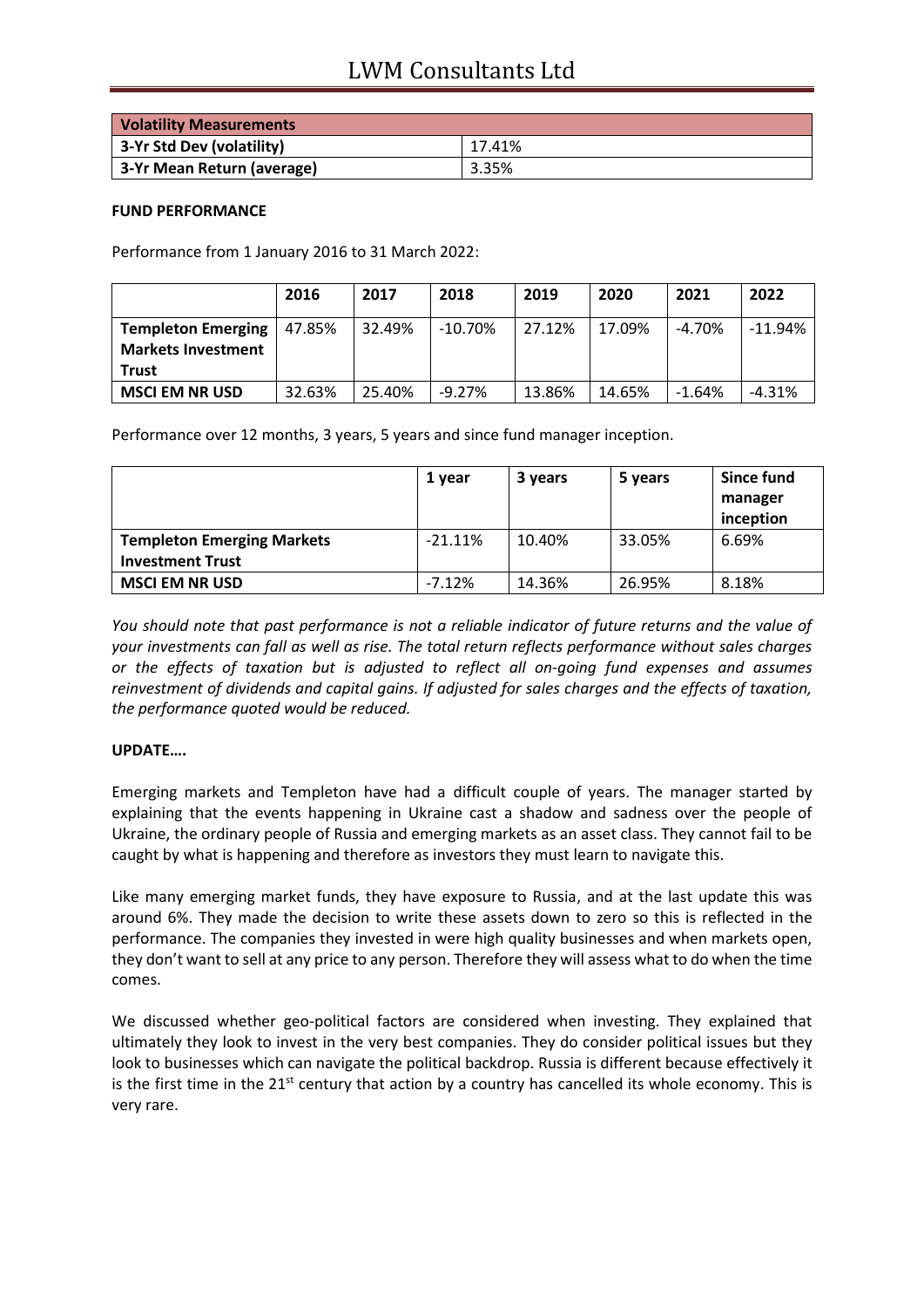| <b>Volatility Measurements</b> |        |
|--------------------------------|--------|
| 3-Yr Std Dev (volatility)      | 17.41% |
| 3-Yr Mean Return (average)     | 3.35%  |

#### **FUND PERFORMANCE**

Performance from 1 January 2016 to 31 March 2022:

|                                                                        | 2016   | 2017   | 2018       | 2019   | 2020   | 2021     | 2022      |
|------------------------------------------------------------------------|--------|--------|------------|--------|--------|----------|-----------|
| <b>Templeton Emerging</b><br><b>Markets Investment</b><br><b>Trust</b> | 47.85% | 32.49% | $-10.70\%$ | 27.12% | 17.09% | $-4.70%$ | $-11.94%$ |
| <b>MSCI EM NR USD</b>                                                  | 32.63% | 25.40% | $-9.27%$   | 13.86% | 14.65% | $-1.64%$ | $-4.31\%$ |

Performance over 12 months, 3 years, 5 years and since fund manager inception.

|                                   | 1 year     | 3 years | 5 years | Since fund<br>manager<br>inception |
|-----------------------------------|------------|---------|---------|------------------------------------|
| <b>Templeton Emerging Markets</b> | $-21.11\%$ | 10.40%  | 33.05%  | 6.69%                              |
| <b>Investment Trust</b>           |            |         |         |                                    |
| <b>MSCI EM NR USD</b>             | $-7.12%$   | 14.36%  | 26.95%  | 8.18%                              |

*You should note that past performance is not a reliable indicator of future returns and the value of your investments can fall as well as rise. The total return reflects performance without sales charges or the effects of taxation but is adjusted to reflect all on-going fund expenses and assumes reinvestment of dividends and capital gains. If adjusted for sales charges and the effects of taxation, the performance quoted would be reduced.*

## **UPDATE….**

Emerging markets and Templeton have had a difficult couple of years. The manager started by explaining that the events happening in Ukraine cast a shadow and sadness over the people of Ukraine, the ordinary people of Russia and emerging markets as an asset class. They cannot fail to be caught by what is happening and therefore as investors they must learn to navigate this.

Like many emerging market funds, they have exposure to Russia, and at the last update this was around 6%. They made the decision to write these assets down to zero so this is reflected in the performance. The companies they invested in were high quality businesses and when markets open, they don't want to sell at any price to any person. Therefore they will assess what to do when the time comes.

We discussed whether geo-political factors are considered when investing. They explained that ultimately they look to invest in the very best companies. They do consider political issues but they look to businesses which can navigate the political backdrop. Russia is different because effectively it is the first time in the  $21<sup>st</sup>$  century that action by a country has cancelled its whole economy. This is very rare.